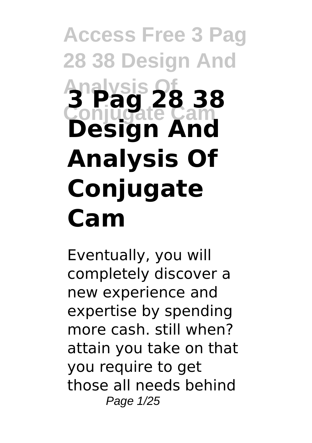# **Access Free 3 Pag 28 38 Design And Analysis Of Conjugate Cam 3 Pag 28 38 Design And Analysis Of Conjugate Cam**

Eventually, you will completely discover a new experience and expertise by spending more cash. still when? attain you take on that you require to get those all needs behind Page 1/25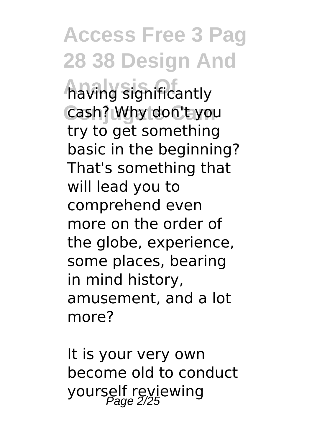**Access Free 3 Pag 28 38 Design And Analysis Of** having significantly Cash? Why don't you try to get something basic in the beginning? That's something that will lead you to comprehend even more on the order of the globe, experience, some places, bearing in mind history, amusement, and a lot more?

It is your very own become old to conduct yourself reviewing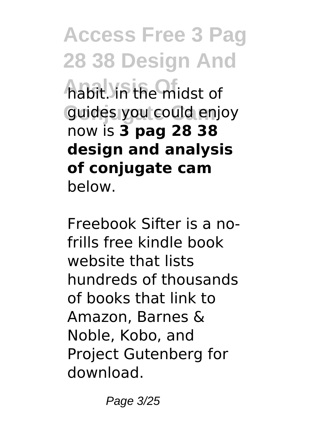**Access Free 3 Pag 28 38 Design And Aabit. In the midst of Conjugate Cam** guides you could enjoy now is **3 pag 28 38 design and analysis of conjugate cam** below.

Freebook Sifter is a nofrills free kindle book website that lists hundreds of thousands of books that link to Amazon, Barnes & Noble, Kobo, and Project Gutenberg for download.

Page 3/25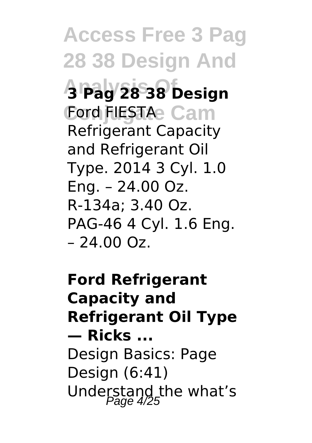**Access Free 3 Pag 28 38 Design And Analysis Of 3 Pag 28 38 Design Cord FIESTAe Cam** Refrigerant Capacity and Refrigerant Oil Type. 2014 3 Cyl. 1.0 Eng. – 24.00 Oz. R-134a; 3.40 Oz. PAG-46 4 Cyl. 1.6 Eng.  $-24.00$  Oz.

**Ford Refrigerant Capacity and Refrigerant Oil Type — Ricks ...** Design Basics: Page Design (6:41) Understand the what's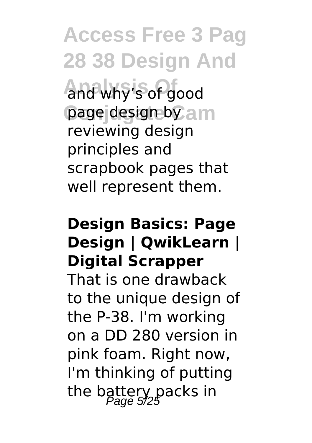**Access Free 3 Pag 28 38 Design And Analysis Of** and why's of good page design by am reviewing design principles and scrapbook pages that well represent them.

#### **Design Basics: Page Design | QwikLearn | Digital Scrapper**

That is one drawback to the unique design of the P-38. I'm working on a DD 280 version in pink foam. Right now, I'm thinking of putting the battery packs in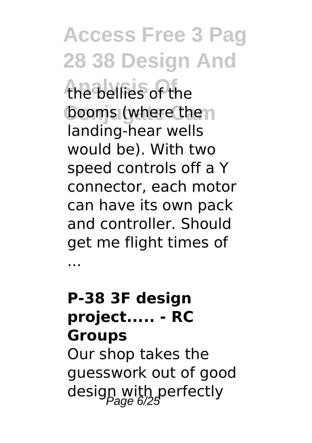**Access Free 3 Pag 28 38 Design And Analysis Of** the bellies of the booms (where the n landing-hear wells would be). With two speed controls off a Y connector, each motor can have its own pack and controller. Should get me flight times of

...

#### **P-38 3F design project..... - RC Groups**

Our shop takes the guesswork out of good design with perfectly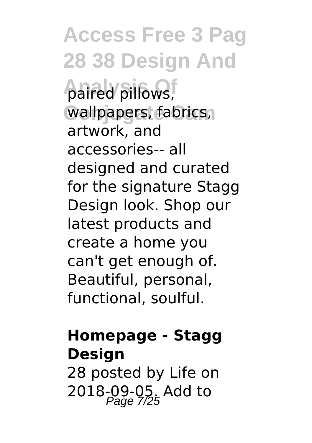**Access Free 3 Pag 28 38 Design And** paired pillows, wallpapers, fabrics, artwork, and accessories-- all designed and curated for the signature Stagg Design look. Shop our latest products and create a home you can't get enough of. Beautiful, personal, functional, soulful.

#### **Homepage - Stagg Design**

28 posted by Life on 2018-09-05. Add to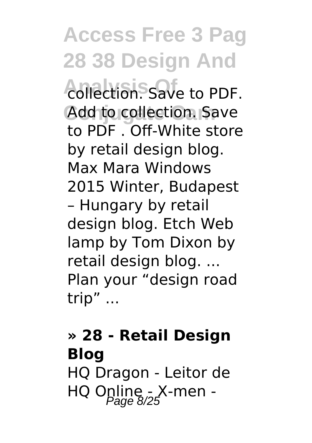**Access Free 3 Pag 28 38 Design And Analysis Of** collection. Save to PDF. Add to collection. Save to PDF . Off-White store by retail design blog. Max Mara Windows 2015 Winter, Budapest – Hungary by retail design blog. Etch Web lamp by Tom Dixon by retail design blog. ... Plan your "design road trip" ...

## **» 28 - Retail Design Blog**

HQ Dragon - Leitor de HQ Opline  $_2$  X-men -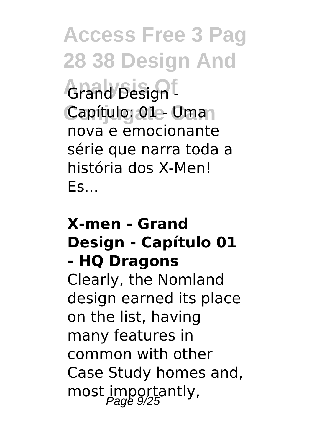**Access Free 3 Pag 28 38 Design And** Grand Design<sup>t</sup> Capítulo: 01 - Uman nova e emocionante série que narra toda a história dos X-Men! Es...

#### **X-men - Grand Design - Capítulo 01 - HQ Dragons**

Clearly, the Nomland design earned its place on the list, having many features in common with other Case Study homes and, most importantly,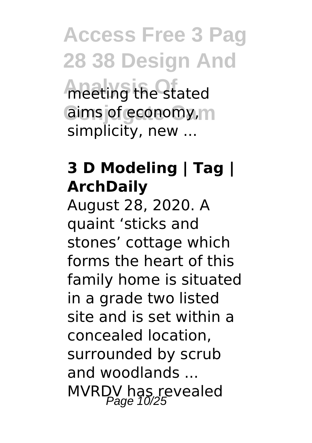**Access Free 3 Pag 28 38 Design And Meeting the stated** aims of economy, m simplicity, new ...

#### **3 D Modeling | Tag | ArchDaily**

August 28, 2020. A quaint 'sticks and stones' cottage which forms the heart of this family home is situated in a grade two listed site and is set within a concealed location, surrounded by scrub and woodlands ... MVRDV has revealed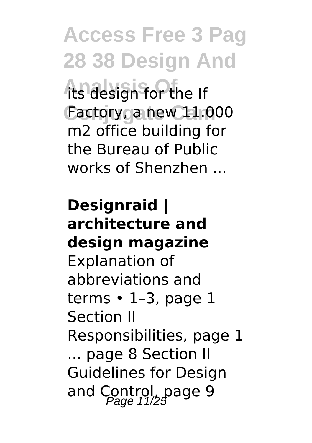**Access Free 3 Pag 28 38 Design And Analysis Of** its design for the If Factory, a new 11.000 m2 office building for the Bureau of Public works of Shenzhen ...

#### **Designraid | architecture and design magazine** Explanation of abbreviations and terms • 1–3, page 1 Section II Responsibilities, page 1 ... page 8 Section II Guidelines for Design and Control, page 9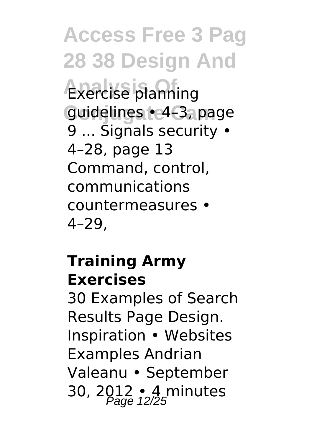**Access Free 3 Pag 28 38 Design And Analysis Of** Exercise planning **Conjugate Cam** guidelines • 4–3, page 9 ... Signals security • 4–28, page 13 Command, control, communications countermeasures • 4–29,

#### **Training Army Exercises**

30 Examples of Search Results Page Design. Inspiration • Websites Examples Andrian Valeanu • September 30, 2012 • 4 minutes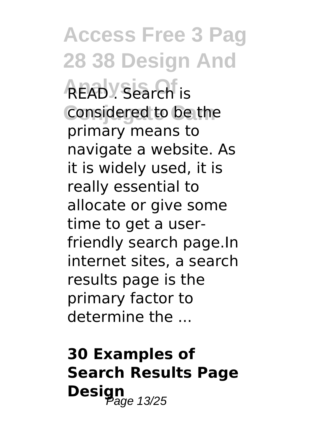**Access Free 3 Pag 28 38 Design And AEAD**<sup>y</sup> Search is considered to be the primary means to navigate a website. As it is widely used, it is really essential to allocate or give some time to get a userfriendly search page.In internet sites, a search results page is the primary factor to determine the ...

## **30 Examples of Search Results Page Design**<br>**Design**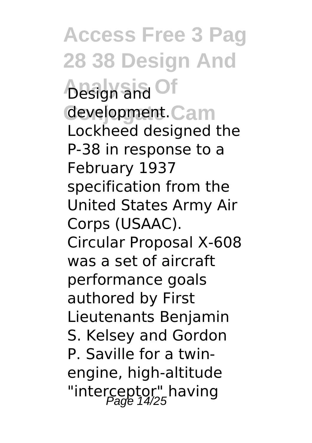**Access Free 3 Pag 28 38 Design And A**esign and Of development. Cam Lockheed designed the P-38 in response to a February 1937 specification from the United States Army Air Corps (USAAC). Circular Proposal X-608 was a set of aircraft performance goals authored by First Lieutenants Benjamin S. Kelsey and Gordon P. Saville for a twinengine, high-altitude "interceptor" having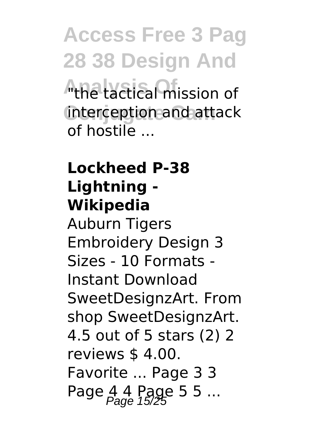**Access Free 3 Pag 28 38 Design And Analysis Of** "the tactical mission of interception and attack of hostile ...

#### **Lockheed P-38 Lightning - Wikipedia**

Auburn Tigers Embroidery Design 3 Sizes - 10 Formats - Instant Download SweetDesignzArt. From shop SweetDesignzArt. 4.5 out of 5 stars (2) 2 reviews \$ 4.00. Favorite ... Page 3 3 Page  $4.4$  Page 5 5 ...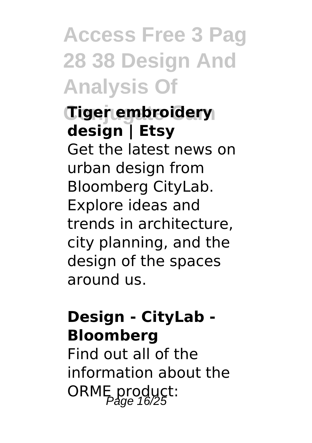**Access Free 3 Pag 28 38 Design And Analysis Of**

**Conjugate Cam Tiger embroidery design | Etsy** Get the latest news on urban design from Bloomberg CityLab. Explore ideas and trends in architecture, city planning, and the design of the spaces around us.

#### **Design - CityLab - Bloomberg**

Find out all of the information about the ORME product: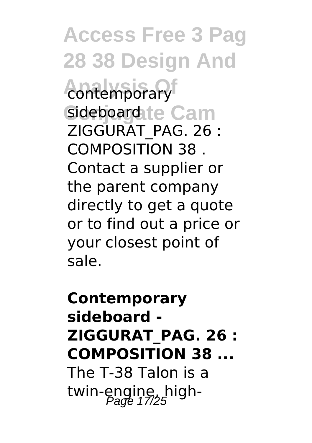**Access Free 3 Pag 28 38 Design And** *<u>Antemporary</u>* sideboard<sub>te</sub> Cam ZIGGURAT\_PAG. 26 : COMPOSITION 38 . Contact a supplier or the parent company directly to get a quote or to find out a price or your closest point of sale.

**Contemporary sideboard - ZIGGURAT\_PAG. 26 : COMPOSITION 38 ...** The T-38 Talon is a twin-engine, high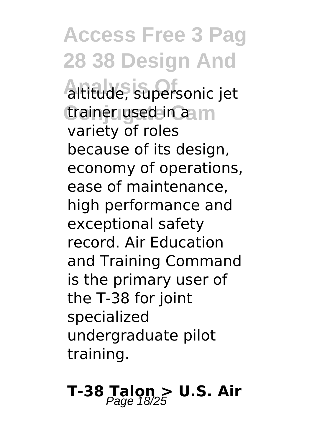**Access Free 3 Pag 28 38 Design And Analysis Of** altitude, supersonic jet trainer used in a m variety of roles because of its design, economy of operations, ease of maintenance, high performance and exceptional safety record. Air Education and Training Command is the primary user of the T-38 for joint specialized undergraduate pilot training.

## **T-38 Talon > U.S. Air**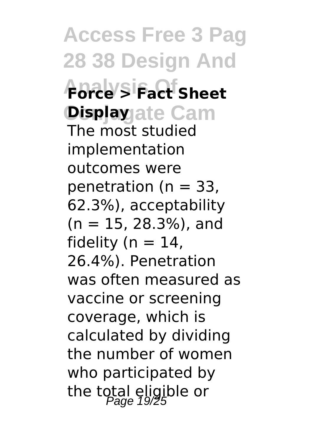**Access Free 3 Pag 28 38 Design And Analysis Of Force > Fact Sheet Display**<sub>ate</sub> Cam The most studied implementation outcomes were penetration ( $n = 33$ , 62.3%), acceptability  $(n = 15, 28.3\%)$ , and fidelity ( $n = 14$ , 26.4%). Penetration was often measured as vaccine or screening coverage, which is calculated by dividing the number of women who participated by the total eligible or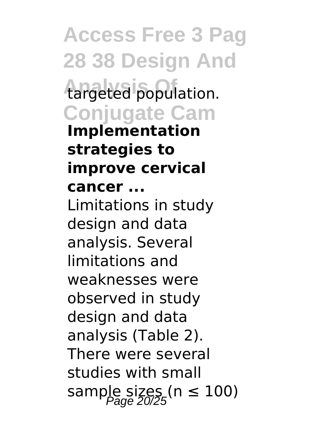**Access Free 3 Pag 28 38 Design And** targeted population. **Conjugate Cam Implementation strategies to improve cervical cancer ...**

Limitations in study design and data analysis. Several limitations and weaknesses were observed in study design and data analysis (Table 2). There were several studies with small sample sizes (n  $\leq 100$ )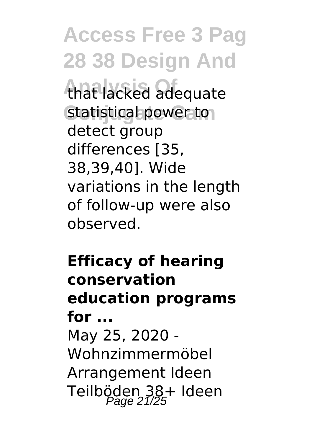**Access Free 3 Pag 28 38 Design And** that lacked adequate statistical power to detect group differences [35, 38,39,40]. Wide variations in the length of follow-up were also observed.

### **Efficacy of hearing conservation education programs for ...** May 25, 2020 - Wohnzimmermöbel Arrangement Ideen Teilböden 38+ Ideen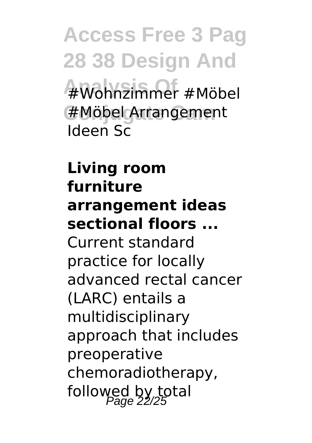**Access Free 3 Pag 28 38 Design And Analysis Of** #Wohnzimmer #Möbel #Möbel Arrangement Ideen Sc

#### **Living room furniture arrangement ideas sectional floors ...** Current standard practice for locally advanced rectal cancer (LARC) entails a multidisciplinary approach that includes preoperative chemoradiotherapy, followed by total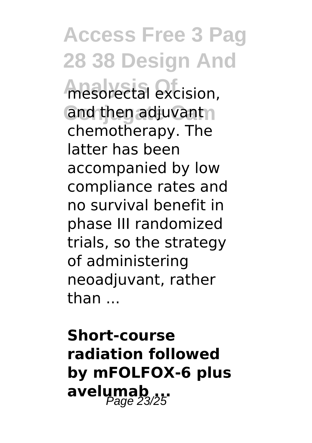**Access Free 3 Pag 28 38 Design And Mesorectal excision,** and then adjuvantn chemotherapy. The latter has been accompanied by low compliance rates and no survival benefit in phase III randomized trials, so the strategy of administering neoadjuvant, rather than ...

### **Short-course radiation followed by mFOLFOX-6 plus** avelumab<sub>Page</sub> 23/25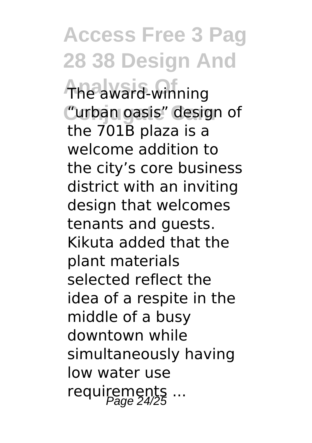**Access Free 3 Pag 28 38 Design And** The award-winning **Conjugate Cam** "urban oasis" design of the 701B plaza is a welcome addition to the city's core business district with an inviting design that welcomes tenants and guests. Kikuta added that the plant materials selected reflect the idea of a respite in the middle of a busy downtown while simultaneously having low water use requirements ...